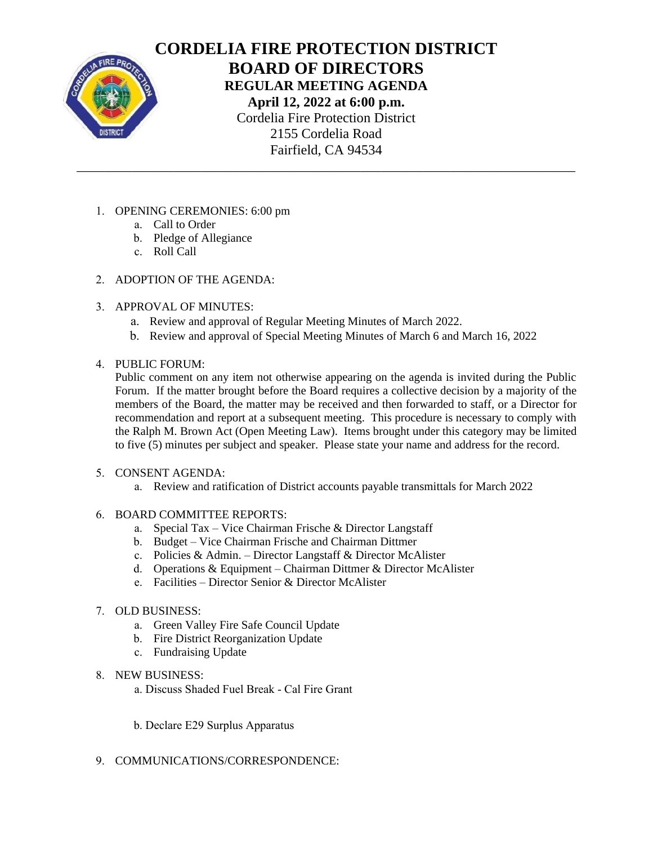

# **CORDELIA FIRE PROTECTION DISTRICT BOARD OF DIRECTORS REGULAR MEETING AGENDA April 12, 2022 at 6:00 p.m.** Cordelia Fire Protection District 2155 Cordelia Road Fairfield, CA 94534 \_\_\_\_\_\_\_\_\_\_\_\_\_\_\_\_\_\_\_\_\_\_\_\_\_\_\_\_\_\_\_\_\_\_\_\_\_\_\_\_\_\_\_\_\_\_\_\_\_\_\_\_\_\_\_\_\_\_\_\_\_\_\_\_\_\_\_\_\_\_\_\_

- 1. OPENING CEREMONIES: 6:00 pm
	- a. Call to Order
	- b. Pledge of Allegiance
	- c. Roll Call
- 2. ADOPTION OF THE AGENDA:
- 3. APPROVAL OF MINUTES:
	- a. Review and approval of Regular Meeting Minutes of March 2022.
	- b. Review and approval of Special Meeting Minutes of March 6 and March 16, 2022
- 4. PUBLIC FORUM:

Public comment on any item not otherwise appearing on the agenda is invited during the Public Forum. If the matter brought before the Board requires a collective decision by a majority of the members of the Board, the matter may be received and then forwarded to staff, or a Director for recommendation and report at a subsequent meeting. This procedure is necessary to comply with the Ralph M. Brown Act (Open Meeting Law). Items brought under this category may be limited to five (5) minutes per subject and speaker. Please state your name and address for the record.

- 5. CONSENT AGENDA:
	- a. Review and ratification of District accounts payable transmittals for March 2022
- 6. BOARD COMMITTEE REPORTS:
	- a. Special Tax Vice Chairman Frische & Director Langstaff
	- b. Budget Vice Chairman Frische and Chairman Dittmer
	- c. Policies & Admin. Director Langstaff & Director McAlister
	- d. Operations & Equipment Chairman Dittmer & Director McAlister
	- e. Facilities Director Senior & Director McAlister
- 7. OLD BUSINESS:
	- a. Green Valley Fire Safe Council Update
	- b. Fire District Reorganization Update
	- c. Fundraising Update
- 8. NEW BUSINESS:
	- a. Discuss Shaded Fuel Break Cal Fire Grant
	- b. Declare E29 Surplus Apparatus
- 9. COMMUNICATIONS/CORRESPONDENCE: